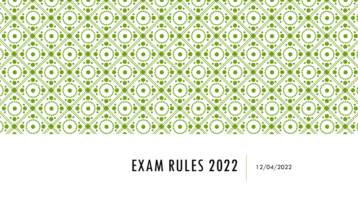

### EXAM RULES 2022 12/04/2022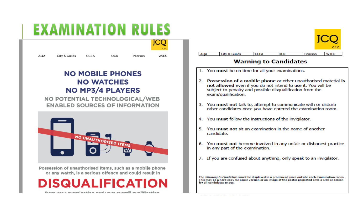### **EXAMINATION RULES**



#### **NO MOBILE PHONES NO WATCHES NO MP3/4 PLAYERS**

NO POTENTIAL TECHNOLOGICAL/WEB **ENABLED SOURCES OF INFORMATION** 



Possession of unauthorised items, such as a mobile phone or any watch, is a serious offence and could result in

**DISQUALIFICATION** 

from vour examination and vour overall qualification

| City & Guilds |                              | Pearson | <b>WJEC</b> |
|---------------|------------------------------|---------|-------------|
|               | <b>Warning to Candidates</b> |         |             |

- 1. You must be on time for all your examinations.
- 2. Possession of a mobile phone or other unauthorised material is not allowed even if you do not intend to use it. You will be subject to penalty and possible disqualification from the exam/qualification.
- 3. You must not talk to, attempt to communicate with or disturb other candidates once you have entered the examination room.
- 4. You must follow the instructions of the invigilator.
- 5. You must not sit an examination in the name of another candidate.
- 6. You must not become involved in any unfair or dishonest practice in any part of the examination.
- 7. If you are confused about anything, only speak to an invigilator.

The Warning to Candidates must be displayed in a prominent place outside each examination room. This may be a hard copy A3 paper version or an image of the poster projected onto a wall or screen for all candidates to see.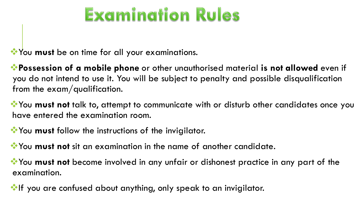# Examination Rules

**You must** be on time for all your examinations.

**Possession of a mobile phone** or other unauthorised material **is not allowed** even if you do not intend to use it. You will be subject to penalty and possible disqualification from the exam/qualification.

**W**You **must not** talk to, attempt to communicate with or disturb other candidates once you have entered the examination room.

**You must** follow the instructions of the invigilator.

You **must not** sit an examination in the name of another candidate.

**W**You **must not** become involved in any unfair or dishonest practice in any part of the examination.

**If you are confused about anything, only speak to an invigilator.**